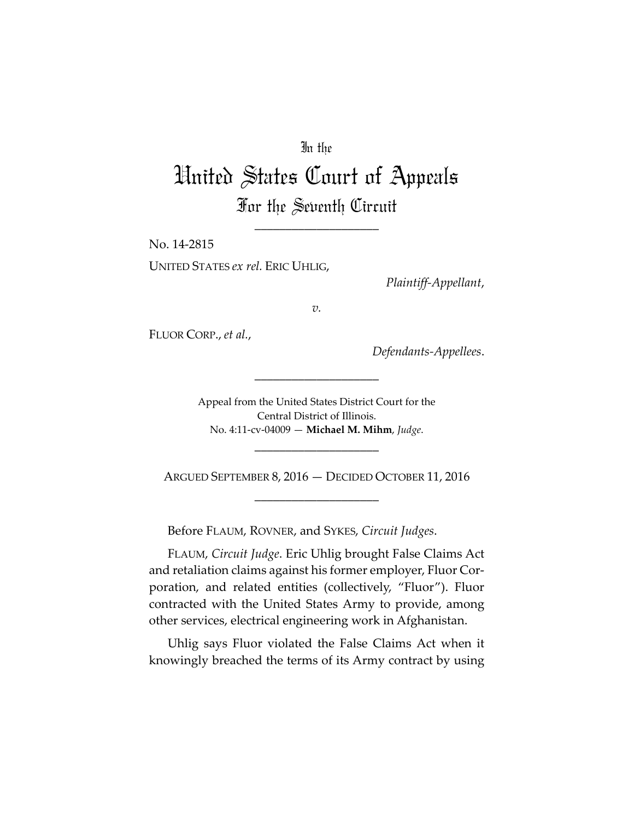## In the

# United States Court of Appeals For the Seventh Circuit

\_\_\_\_\_\_\_\_\_\_\_\_\_\_\_\_\_\_\_\_

No. 14-2815 UNITED STATES *ex rel.* ERIC UHLIG,

*Plaintiff-Appellant*,

*v.*

FLUOR CORP., *et al.*,

*Defendants-Appellees*.

Appeal from the United States District Court for the Central District of Illinois. No. 4:11-cv-04009 — **Michael M. Mihm**, *Judge*.

\_\_\_\_\_\_\_\_\_\_\_\_\_\_\_\_\_\_\_\_

\_\_\_\_\_\_\_\_\_\_\_\_\_\_\_\_\_\_\_\_

ARGUED SEPTEMBER 8, 2016 — DECIDED OCTOBER 11, 2016 \_\_\_\_\_\_\_\_\_\_\_\_\_\_\_\_\_\_\_\_

Before FLAUM, ROVNER, and SYKES, *Circuit Judges*.

FLAUM, *Circuit Judge*. Eric Uhlig brought False Claims Act and retaliation claims against his former employer, Fluor Corporation, and related entities (collectively, "Fluor"). Fluor contracted with the United States Army to provide, among other services, electrical engineering work in Afghanistan.

Uhlig says Fluor violated the False Claims Act when it knowingly breached the terms of its Army contract by using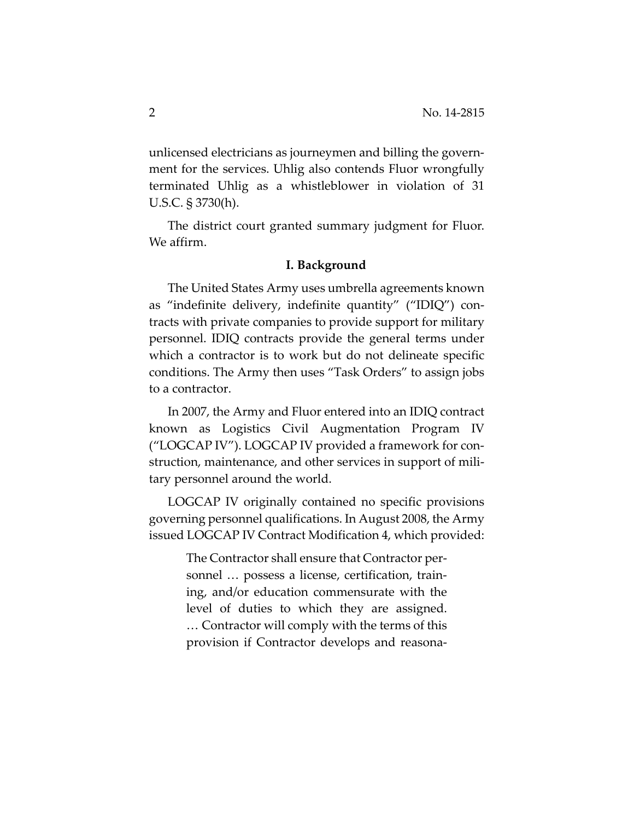unlicensed electricians as journeymen and billing the government for the services. Uhlig also contends Fluor wrongfully terminated Uhlig as a whistleblower in violation of 31 U.S.C. § 3730(h).

The district court granted summary judgment for Fluor. We affirm.

#### **I. Background**

The United States Army uses umbrella agreements known as "indefinite delivery, indefinite quantity" ("IDIQ") contracts with private companies to provide support for military personnel. IDIQ contracts provide the general terms under which a contractor is to work but do not delineate specific conditions. The Army then uses "Task Orders" to assign jobs to a contractor.

In 2007, the Army and Fluor entered into an IDIQ contract known as Logistics Civil Augmentation Program IV ("LOGCAP IV"). LOGCAP IV provided a framework for construction, maintenance, and other services in support of military personnel around the world.

LOGCAP IV originally contained no specific provisions governing personnel qualifications. In August 2008, the Army issued LOGCAP IV Contract Modification 4, which provided:

> The Contractor shall ensure that Contractor personnel … possess a license, certification, training, and/or education commensurate with the level of duties to which they are assigned. … Contractor will comply with the terms of this provision if Contractor develops and reasona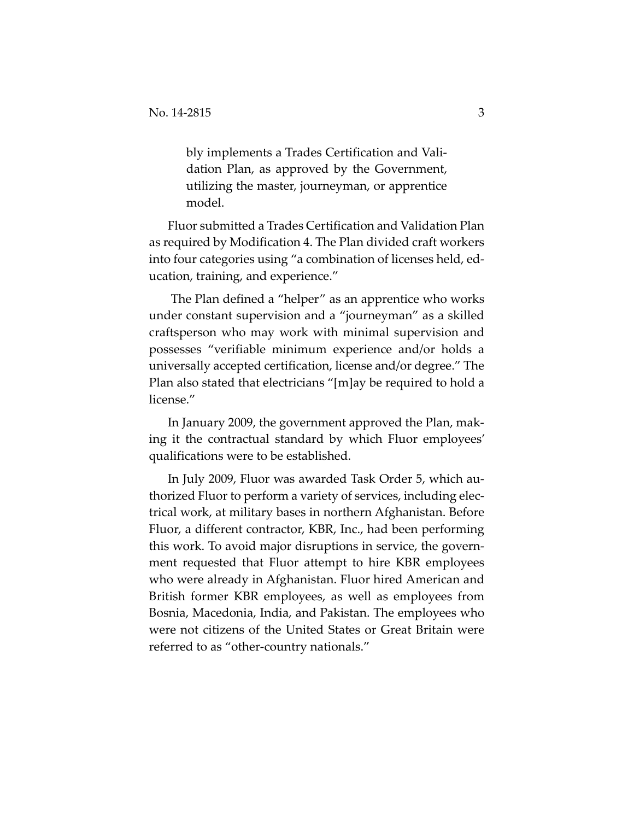bly implements a Trades Certification and Validation Plan, as approved by the Government, utilizing the master, journeyman, or apprentice model.

Fluor submitted a Trades Certification and Validation Plan as required by Modification 4. The Plan divided craft workers into four categories using "a combination of licenses held, education, training, and experience."

 The Plan defined a "helper" as an apprentice who works under constant supervision and a "journeyman" as a skilled craftsperson who may work with minimal supervision and possesses "verifiable minimum experience and/or holds a universally accepted certification, license and/or degree." The Plan also stated that electricians "[m]ay be required to hold a license."

In January 2009, the government approved the Plan, making it the contractual standard by which Fluor employees' qualifications were to be established.

In July 2009, Fluor was awarded Task Order 5, which authorized Fluor to perform a variety of services, including electrical work, at military bases in northern Afghanistan. Before Fluor, a different contractor, KBR, Inc., had been performing this work. To avoid major disruptions in service, the government requested that Fluor attempt to hire KBR employees who were already in Afghanistan. Fluor hired American and British former KBR employees, as well as employees from Bosnia, Macedonia, India, and Pakistan. The employees who were not citizens of the United States or Great Britain were referred to as "other-country nationals."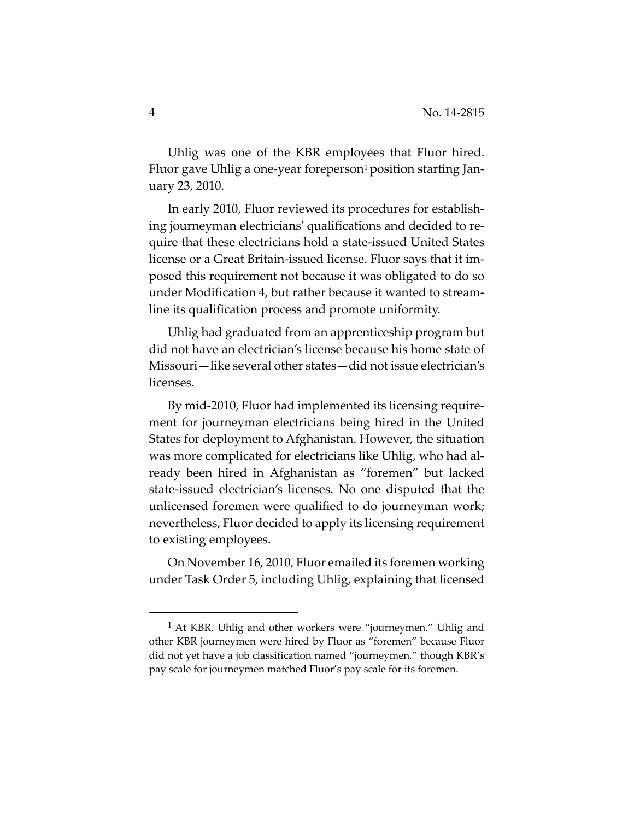Uhlig was one of the KBR employees that Fluor hired. Fluor gave Uhlig a one-year foreperson<sup>1</sup> position starting January 23, 2010.

In early 2010, Fluor reviewed its procedures for establishing journeyman electricians' qualifications and decided to require that these electricians hold a state-issued United States license or a Great Britain-issued license. Fluor says that it imposed this requirement not because it was obligated to do so under Modification 4, but rather because it wanted to streamline its qualification process and promote uniformity.

Uhlig had graduated from an apprenticeship program but did not have an electrician's license because his home state of Missouri—like several other states—did not issue electrician's licenses.

By mid-2010, Fluor had implemented its licensing requirement for journeyman electricians being hired in the United States for deployment to Afghanistan. However, the situation was more complicated for electricians like Uhlig, who had already been hired in Afghanistan as "foremen" but lacked state-issued electrician's licenses. No one disputed that the unlicensed foremen were qualified to do journeyman work; nevertheless, Fluor decided to apply its licensing requirement to existing employees.

On November 16, 2010, Fluor emailed its foremen working under Task Order 5, including Uhlig, explaining that licensed

<sup>&</sup>lt;sup>1</sup> At KBR, Uhlig and other workers were "journeymen." Uhlig and other KBR journeymen were hired by Fluor as "foremen" because Fluor did not yet have a job classification named "journeymen," though KBR's pay scale for journeymen matched Fluor's pay scale for its foremen.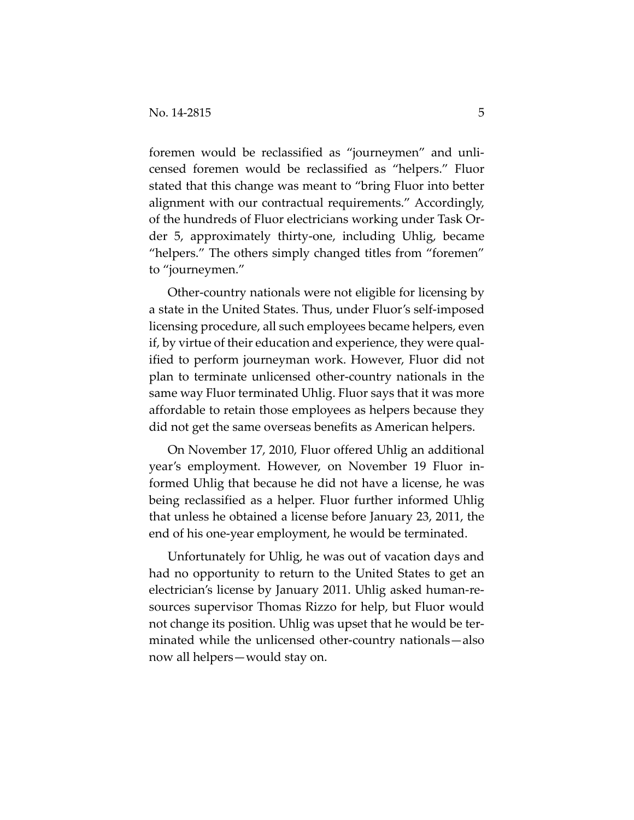foremen would be reclassified as "journeymen" and unlicensed foremen would be reclassified as "helpers." Fluor stated that this change was meant to "bring Fluor into better alignment with our contractual requirements." Accordingly, of the hundreds of Fluor electricians working under Task Order 5, approximately thirty-one, including Uhlig, became "helpers." The others simply changed titles from "foremen" to "journeymen."

Other-country nationals were not eligible for licensing by a state in the United States. Thus, under Fluor's self-imposed licensing procedure, all such employees became helpers, even if, by virtue of their education and experience, they were qualified to perform journeyman work. However, Fluor did not plan to terminate unlicensed other-country nationals in the same way Fluor terminated Uhlig. Fluor says that it was more affordable to retain those employees as helpers because they did not get the same overseas benefits as American helpers.

On November 17, 2010, Fluor offered Uhlig an additional year's employment. However, on November 19 Fluor informed Uhlig that because he did not have a license, he was being reclassified as a helper. Fluor further informed Uhlig that unless he obtained a license before January 23, 2011, the end of his one-year employment, he would be terminated.

Unfortunately for Uhlig, he was out of vacation days and had no opportunity to return to the United States to get an electrician's license by January 2011. Uhlig asked human-resources supervisor Thomas Rizzo for help, but Fluor would not change its position. Uhlig was upset that he would be terminated while the unlicensed other-country nationals—also now all helpers—would stay on.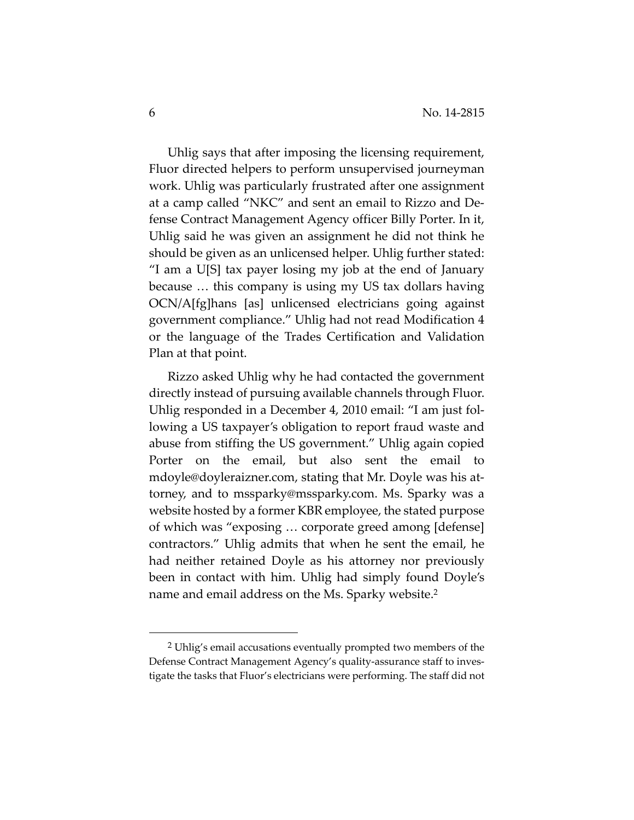Uhlig says that after imposing the licensing requirement, Fluor directed helpers to perform unsupervised journeyman work. Uhlig was particularly frustrated after one assignment at a camp called "NKC" and sent an email to Rizzo and Defense Contract Management Agency officer Billy Porter. In it, Uhlig said he was given an assignment he did not think he should be given as an unlicensed helper. Uhlig further stated: "I am a U[S] tax payer losing my job at the end of January because … this company is using my US tax dollars having OCN/A[fg]hans [as] unlicensed electricians going against government compliance." Uhlig had not read Modification 4 or the language of the Trades Certification and Validation Plan at that point.

Rizzo asked Uhlig why he had contacted the government directly instead of pursuing available channels through Fluor. Uhlig responded in a December 4, 2010 email: "I am just following a US taxpayer's obligation to report fraud waste and abuse from stiffing the US government." Uhlig again copied Porter on the email, but also sent the email to mdoyle@doyleraizner.com, stating that Mr. Doyle was his attorney, and to mssparky@mssparky.com. Ms. Sparky was a website hosted by a former KBR employee, the stated purpose of which was "exposing … corporate greed among [defense] contractors." Uhlig admits that when he sent the email, he had neither retained Doyle as his attorney nor previously been in contact with him. Uhlig had simply found Doyle's name and email address on the Ms. Sparky website.2

 <sup>2</sup> Uhlig's email accusations eventually prompted two members of the Defense Contract Management Agency's quality-assurance staff to investigate the tasks that Fluor's electricians were performing. The staff did not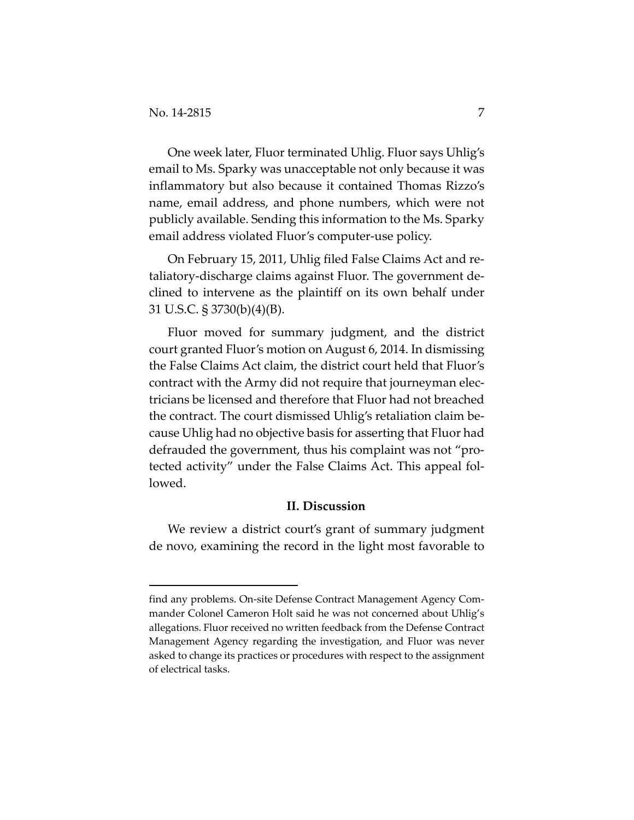-

One week later, Fluor terminated Uhlig. Fluor says Uhlig's email to Ms. Sparky was unacceptable not only because it was inflammatory but also because it contained Thomas Rizzo's name, email address, and phone numbers, which were not publicly available. Sending this information to the Ms. Sparky email address violated Fluor's computer-use policy.

On February 15, 2011, Uhlig filed False Claims Act and retaliatory-discharge claims against Fluor. The government declined to intervene as the plaintiff on its own behalf under 31 U.S.C. § 3730(b)(4)(B).

Fluor moved for summary judgment, and the district court granted Fluor's motion on August 6, 2014. In dismissing the False Claims Act claim, the district court held that Fluor's contract with the Army did not require that journeyman electricians be licensed and therefore that Fluor had not breached the contract. The court dismissed Uhlig's retaliation claim because Uhlig had no objective basis for asserting that Fluor had defrauded the government, thus his complaint was not "protected activity" under the False Claims Act. This appeal followed.

## **II. Discussion**

We review a district court's grant of summary judgment de novo, examining the record in the light most favorable to

find any problems. On-site Defense Contract Management Agency Commander Colonel Cameron Holt said he was not concerned about Uhlig's allegations. Fluor received no written feedback from the Defense Contract Management Agency regarding the investigation, and Fluor was never asked to change its practices or procedures with respect to the assignment of electrical tasks.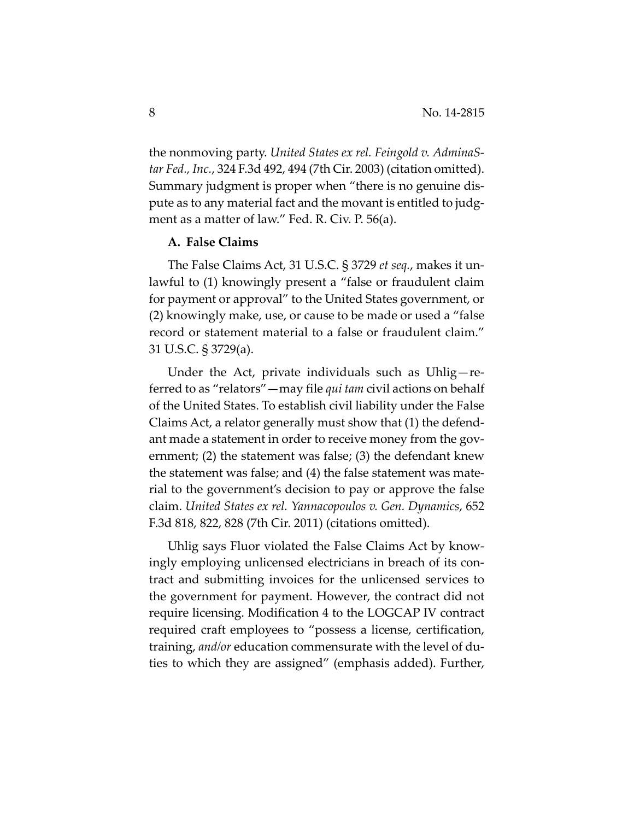the nonmoving party. *United States ex rel. Feingold v. AdminaStar Fed., Inc.*, 324 F.3d 492, 494 (7th Cir. 2003) (citation omitted). Summary judgment is proper when "there is no genuine dispute as to any material fact and the movant is entitled to judgment as a matter of law." Fed. R. Civ. P. 56(a).

#### **A. False Claims**

The False Claims Act, 31 U.S.C. § 3729 *et seq.*, makes it unlawful to (1) knowingly present a "false or fraudulent claim for payment or approval" to the United States government, or (2) knowingly make, use, or cause to be made or used a "false record or statement material to a false or fraudulent claim." 31 U.S.C. § 3729(a).

Under the Act, private individuals such as Uhlig—referred to as "relators"—may file *qui tam* civil actions on behalf of the United States. To establish civil liability under the False Claims Act, a relator generally must show that (1) the defendant made a statement in order to receive money from the government; (2) the statement was false; (3) the defendant knew the statement was false; and (4) the false statement was material to the government's decision to pay or approve the false claim. *United States ex rel. Yannacopoulos v. Gen. Dynamics*, 652 F.3d 818, 822, 828 (7th Cir. 2011) (citations omitted).

Uhlig says Fluor violated the False Claims Act by knowingly employing unlicensed electricians in breach of its contract and submitting invoices for the unlicensed services to the government for payment. However, the contract did not require licensing. Modification 4 to the LOGCAP IV contract required craft employees to "possess a license, certification, training, *and/or* education commensurate with the level of duties to which they are assigned" (emphasis added). Further,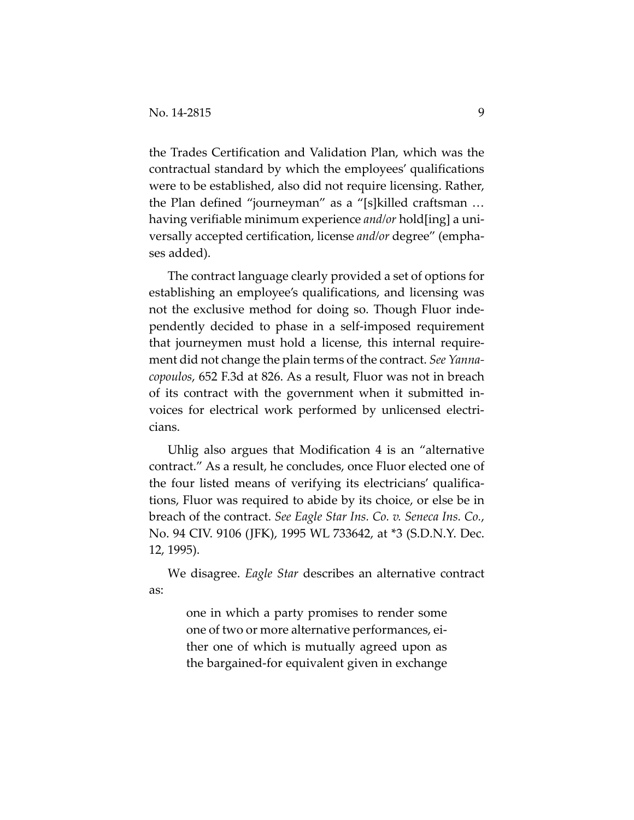the Trades Certification and Validation Plan, which was the contractual standard by which the employees' qualifications were to be established, also did not require licensing. Rather, the Plan defined "journeyman" as a "[s]killed craftsman … having verifiable minimum experience *and/or* hold[ing] a universally accepted certification, license *and/or* degree" (emphases added).

The contract language clearly provided a set of options for establishing an employee's qualifications, and licensing was not the exclusive method for doing so. Though Fluor independently decided to phase in a self-imposed requirement that journeymen must hold a license, this internal requirement did not change the plain terms of the contract. *See Yannacopoulos*, 652 F.3d at 826. As a result, Fluor was not in breach of its contract with the government when it submitted invoices for electrical work performed by unlicensed electricians.

Uhlig also argues that Modification 4 is an "alternative contract." As a result, he concludes, once Fluor elected one of the four listed means of verifying its electricians' qualifications, Fluor was required to abide by its choice, or else be in breach of the contract. *See Eagle Star Ins. Co. v. Seneca Ins. Co.*, No. 94 CIV. 9106 (JFK), 1995 WL 733642, at \*3 (S.D.N.Y. Dec. 12, 1995).

We disagree. *Eagle Star* describes an alternative contract as:

> one in which a party promises to render some one of two or more alternative performances, either one of which is mutually agreed upon as the bargained-for equivalent given in exchange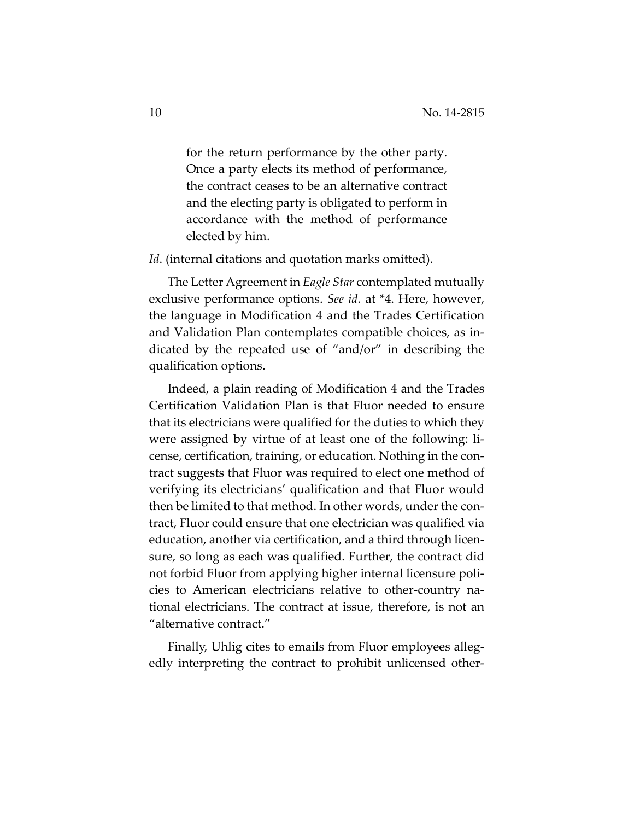for the return performance by the other party. Once a party elects its method of performance, the contract ceases to be an alternative contract and the electing party is obligated to perform in accordance with the method of performance elected by him.

*Id*. (internal citations and quotation marks omitted).

The Letter Agreement in *Eagle Star* contemplated mutually exclusive performance options. *See id.* at \*4. Here, however, the language in Modification 4 and the Trades Certification and Validation Plan contemplates compatible choices, as indicated by the repeated use of "and/or" in describing the qualification options.

Indeed, a plain reading of Modification 4 and the Trades Certification Validation Plan is that Fluor needed to ensure that its electricians were qualified for the duties to which they were assigned by virtue of at least one of the following: license, certification, training, or education. Nothing in the contract suggests that Fluor was required to elect one method of verifying its electricians' qualification and that Fluor would then be limited to that method. In other words, under the contract, Fluor could ensure that one electrician was qualified via education, another via certification, and a third through licensure, so long as each was qualified. Further, the contract did not forbid Fluor from applying higher internal licensure policies to American electricians relative to other-country national electricians. The contract at issue, therefore, is not an "alternative contract."

Finally, Uhlig cites to emails from Fluor employees allegedly interpreting the contract to prohibit unlicensed other-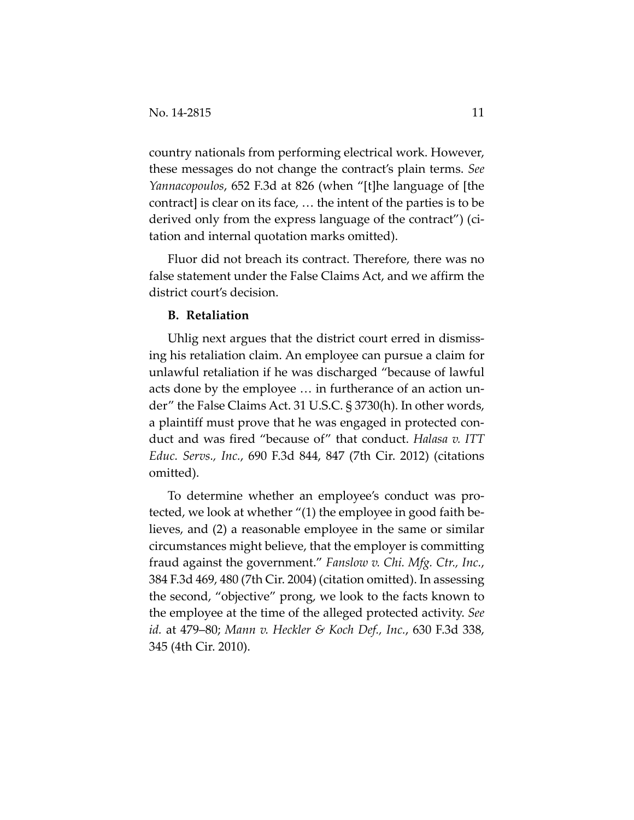country nationals from performing electrical work. However, these messages do not change the contract's plain terms. *See Yannacopoulos*, 652 F.3d at 826 (when "[t]he language of [the contract] is clear on its face, … the intent of the parties is to be derived only from the express language of the contract") (citation and internal quotation marks omitted).

Fluor did not breach its contract. Therefore, there was no false statement under the False Claims Act, and we affirm the district court's decision.

### **B. Retaliation**

Uhlig next argues that the district court erred in dismissing his retaliation claim. An employee can pursue a claim for unlawful retaliation if he was discharged "because of lawful acts done by the employee … in furtherance of an action under" the False Claims Act. 31 U.S.C. § 3730(h). In other words, a plaintiff must prove that he was engaged in protected conduct and was fired "because of" that conduct. *Halasa v. ITT Educ. Servs., Inc.*, 690 F.3d 844, 847 (7th Cir. 2012) (citations omitted).

To determine whether an employee's conduct was protected, we look at whether "(1) the employee in good faith believes, and (2) a reasonable employee in the same or similar circumstances might believe, that the employer is committing fraud against the government." *Fanslow v. Chi. Mfg. Ctr., Inc.*, 384 F.3d 469, 480 (7th Cir. 2004) (citation omitted). In assessing the second, "objective" prong, we look to the facts known to the employee at the time of the alleged protected activity. *See id.* at 479–80; *Mann v. Heckler & Koch Def., Inc.*, 630 F.3d 338, 345 (4th Cir. 2010).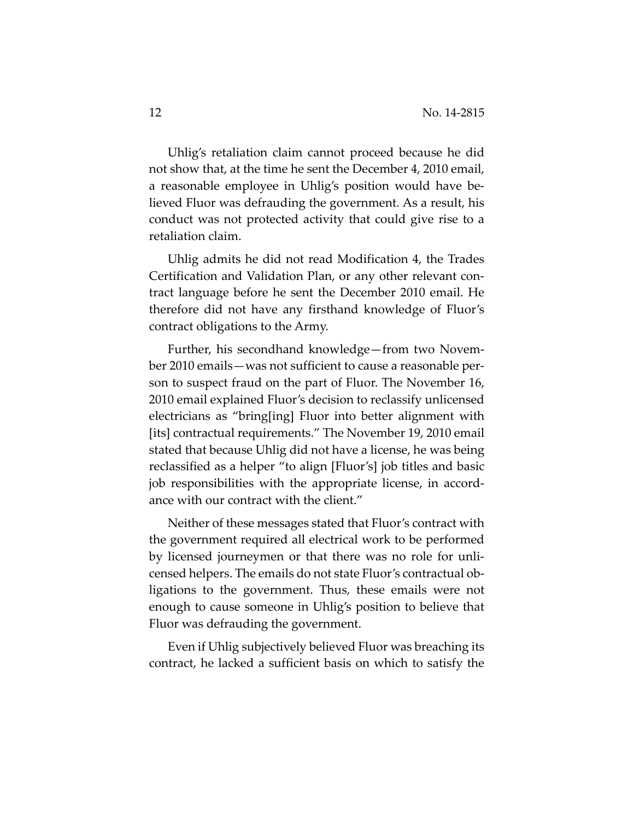Uhlig's retaliation claim cannot proceed because he did not show that, at the time he sent the December 4, 2010 email, a reasonable employee in Uhlig's position would have believed Fluor was defrauding the government. As a result, his conduct was not protected activity that could give rise to a retaliation claim.

Uhlig admits he did not read Modification 4, the Trades Certification and Validation Plan, or any other relevant contract language before he sent the December 2010 email. He therefore did not have any firsthand knowledge of Fluor's contract obligations to the Army.

Further, his secondhand knowledge—from two November 2010 emails—was not sufficient to cause a reasonable person to suspect fraud on the part of Fluor. The November 16, 2010 email explained Fluor's decision to reclassify unlicensed electricians as "bring[ing] Fluor into better alignment with [its] contractual requirements." The November 19, 2010 email stated that because Uhlig did not have a license, he was being reclassified as a helper "to align [Fluor's] job titles and basic job responsibilities with the appropriate license, in accordance with our contract with the client."

Neither of these messages stated that Fluor's contract with the government required all electrical work to be performed by licensed journeymen or that there was no role for unlicensed helpers. The emails do not state Fluor's contractual obligations to the government. Thus, these emails were not enough to cause someone in Uhlig's position to believe that Fluor was defrauding the government.

Even if Uhlig subjectively believed Fluor was breaching its contract, he lacked a sufficient basis on which to satisfy the